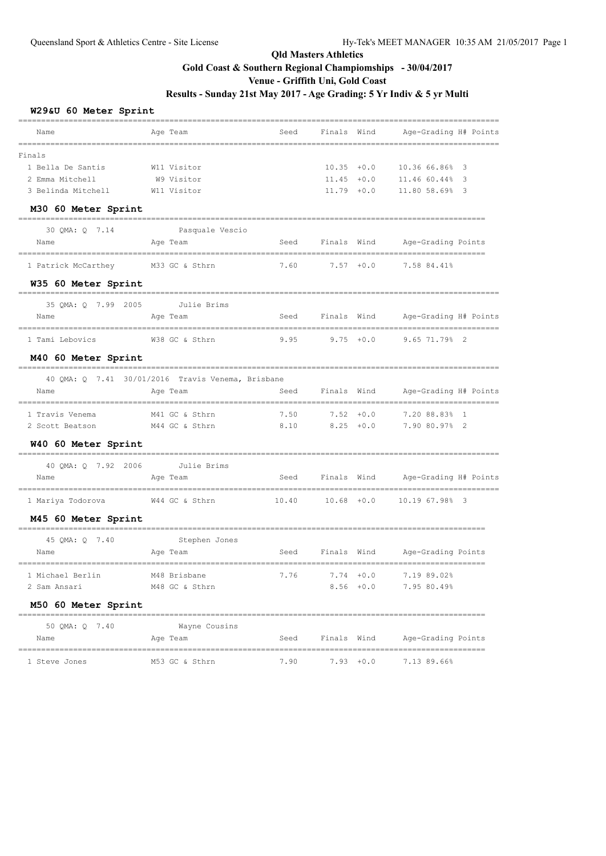#### **W29&U 60 Meter Sprint**

| Name                                            | Age Team                                          |      |                      |              | Seed Finals Wind Age-Grading H# Points  |
|-------------------------------------------------|---------------------------------------------------|------|----------------------|--------------|-----------------------------------------|
| Finals                                          |                                                   |      |                      |              |                                         |
| 1 Bella De Santis                               | W11 Visitor                                       |      | $10.35 + 0.0$        |              | 10.36 66.86% 3                          |
| 2 Emma Mitchell                                 | W9 Visitor                                        |      |                      |              | 11.45 +0.0 11.46 60.44% 3               |
| 3 Belinda Mitchell                              | W11 Visitor                                       |      | $11.79 + 0.0$        |              | 11.80 58.69% 3                          |
| M30 60 Meter Sprint                             |                                                   |      |                      |              |                                         |
| 30 QMA: Q 7.14                                  | Pasquale Vescio                                   |      |                      |              |                                         |
| Name                                            | Age Team                                          |      |                      |              | Seed Finals Wind Age-Grading Points     |
| 1 Patrick McCarthey                             | M33 GC & Sthrn                                    |      |                      |              | 7.60 7.57 +0.0 7.58 84.41%              |
| W35 60 Meter Sprint                             |                                                   |      |                      |              |                                         |
| 35 OMA: 0 7.99 2005 Julie Brims                 |                                                   |      |                      |              |                                         |
| Name                                            | Age Team                                          |      |                      |              | Seed Finals Wind Age-Grading H# Points  |
| 1 Tami Lebovics                                 | W38 GC & Sthrn                                    |      |                      |              | $9.95$ $9.75$ $+0.0$ $9.65$ $71.79$ $2$ |
| M40 60 Meter Sprint                             |                                                   |      |                      |              |                                         |
|                                                 | 40 OMA: 0 7.41 30/01/2016 Travis Venema, Brisbane |      |                      |              |                                         |
| Name                                            | Age Team                                          |      | Seed Finals Wind     |              | Age-Grading H# Points                   |
| 1 Travis Venema                                 | M41 GC & Sthrn                                    | 7.50 |                      | $7.52 + 0.0$ | 7.20 88.83% 1                           |
| 2 Scott Beatson M44 GC & Sthrn                  |                                                   |      | $8.10$ $8.25$ $+0.0$ |              | 7.90 80.97% 2                           |
| W40 60 Meter Sprint                             |                                                   |      |                      |              |                                         |
| 40 QMA: Q 7.92 2006                             | Julie Brims                                       |      |                      |              |                                         |
| Name                                            | Age Team                                          |      |                      |              | Seed Finals Wind Age-Grading H# Points  |
|                                                 |                                                   |      |                      |              | 10.40   10.68 $+0.0$ 10.19   67.98%   3 |
| M45 60 Meter Sprint                             |                                                   |      |                      |              |                                         |
| 45 QMA: Q 7.40                                  | Stephen Jones                                     |      |                      |              |                                         |
| Name                                            | Age Team                                          | Seed |                      |              | Finals Wind Mage-Grading Points         |
| 1 Michael Berlin                                | M48 Brisbane                                      | 7.76 |                      | $7.74 + 0.0$ | 7.19 89.02%                             |
| 2 Sam Ansari                                    | M48 GC & Sthrn                                    |      |                      | $8.56 + 0.0$ | 7.95 80.49%                             |
| M50 60 Meter Sprint                             |                                                   |      |                      |              |                                         |
| -----------------------------<br>50 QMA: Q 7.40 | Wayne Cousins                                     |      |                      |              |                                         |
| Name                                            | Age Team                                          | Seed | Finals Wind          |              | Age-Grading Points                      |
| 1 Steve Jones                                   | M53 GC & Sthrn                                    | 7.90 |                      | $7.93 + 0.0$ | 7.13 89.66%                             |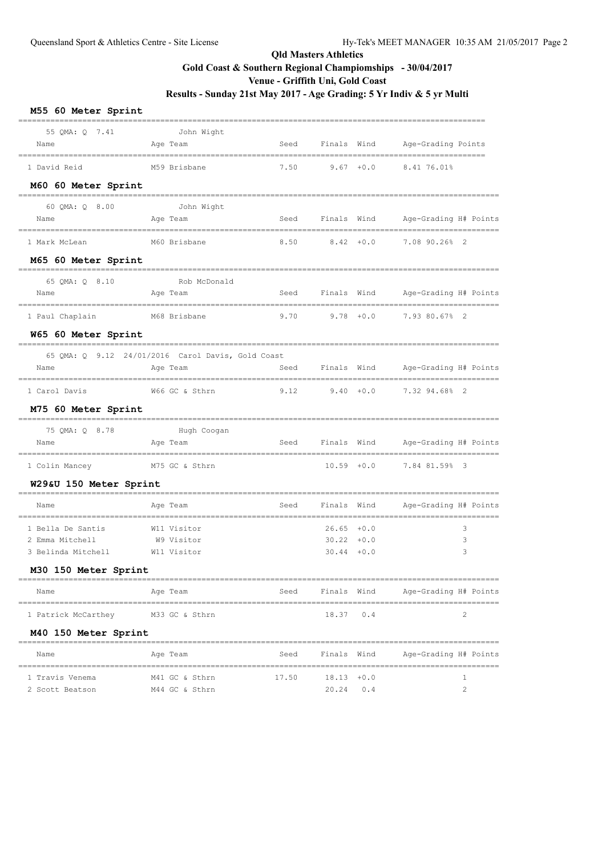| M55 60 Meter Sprint                                                                |                                                               |                  |                                                 |             |                       |
|------------------------------------------------------------------------------------|---------------------------------------------------------------|------------------|-------------------------------------------------|-------------|-----------------------|
| 55 QMA: Q 7.41<br>Name                                                             | John Wight<br>Age Team                                        | Seed             | Finals Wind                                     |             | Age-Grading Points    |
| 1 David Reid                                                                       | M59 Brisbane                                                  | 7.50             | $9.67 + 0.0$                                    |             | 8.41 76.01%           |
| M60 60 Meter Sprint                                                                |                                                               | ================ |                                                 |             |                       |
| 60 QMA: Q 8.00<br>Name                                                             | John Wight<br>Age Team                                        | Seed             | Finals Wind                                     |             | Age-Grading H# Points |
| 1 Mark McLean                                                                      | M60 Brisbane                                                  | 8.50             | $8.42 + 0.0$                                    |             | 7.08 90.26% 2         |
| M65 60 Meter Sprint                                                                |                                                               |                  |                                                 |             |                       |
| 65 OMA: 0 8.10<br>Name                                                             | Rob McDonald<br>Age Team                                      |                  | Seed Finals Wind                                |             | Age-Grading H# Points |
| 1 Paul Chaplain                                                                    | M68 Brisbane                                                  | 9.70             | $9.78 + 0.0$                                    |             | 7.93 80.67% 2         |
| W65 60 Meter Sprint                                                                |                                                               |                  |                                                 |             |                       |
| Name                                                                               | 65 QMA: Q 9.12 24/01/2016 Carol Davis, Gold Coast<br>Age Team | Seed             | Finals Wind                                     |             | Age-Grading H# Points |
| 1 Carol Davis                                                                      | W66 GC & Sthrn                                                | 9.12             | $9.40 + 0.0$                                    |             | 7.32 94.68% 2         |
| M75 60 Meter Sprint                                                                |                                                               |                  |                                                 |             |                       |
| 75 QMA: Q 8.78<br>Name                                                             | Hugh Coogan<br>Age Team                                       | Seed             | Finals Wind                                     |             | Age-Grading H# Points |
| 1 Colin Mancey                                                                     | M75 GC & Sthrn                                                |                  | $10.59 + 0.0$                                   |             | 7.84 81.59% 3         |
| W29&U 150 Meter Sprint                                                             |                                                               |                  |                                                 |             |                       |
| Name                                                                               | Age Team                                                      | Seed             | Finals Wind                                     |             | Age-Grading H# Points |
| 1 Bella De Santis<br>2 Emma Mitchell<br>3 Belinda Mitchell<br>M30 150 Meter Sprint | W11 Visitor<br>W9 Visitor<br>W11 Visitor                      |                  | $26.65 + 0.0$<br>$30.22 + 0.0$<br>$30.44 + 0.0$ |             | 3<br>3<br>3           |
| Name                                                                               | Age Team                                                      |                  | Seed Finals Wind                                |             | Age-Grading H# Points |
| =================================                                                  |                                                               |                  |                                                 |             |                       |
| 1 Patrick McCarthey M33 GC & Sthrn                                                 |                                                               |                  | 18.37 0.4                                       |             | 2                     |
| M40 150 Meter Sprint<br>Name                                                       |                                                               | Seed             |                                                 | Finals Wind |                       |
|                                                                                    | Age Team                                                      |                  |                                                 |             | Age-Grading H# Points |
| 1 Travis Venema<br>2 Scott Beatson                                                 | M41 GC & Sthrn<br>M44 GC & Sthrn                              | 17.50            | $18.13 + 0.0$<br>20.24                          | 0.4         | 1<br>$\overline{2}$   |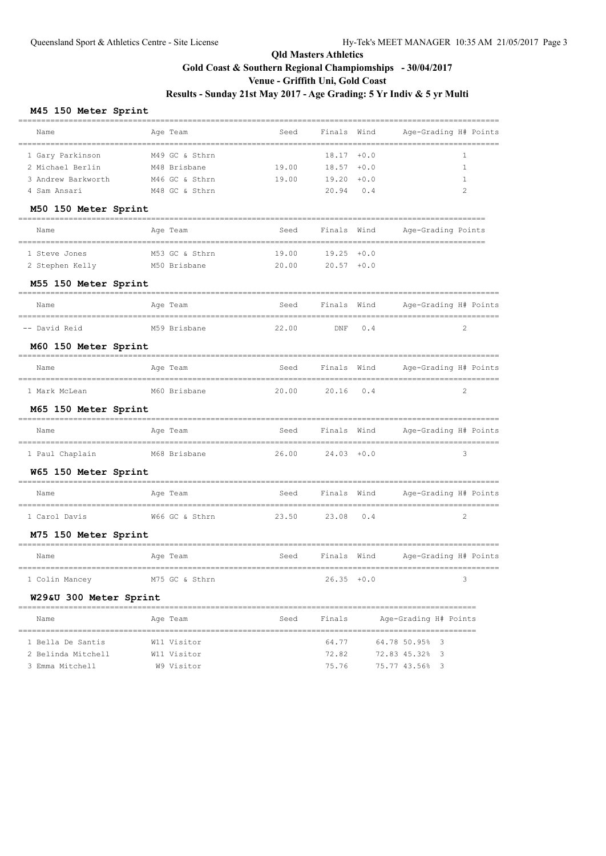#### **M45 150 Meter Sprint**

| Name                                      | Age Team       | Seed  | Finals Wind        |             | Age-Grading H# Points |
|-------------------------------------------|----------------|-------|--------------------|-------------|-----------------------|
| 1 Gary Parkinson                          | M49 GC & Sthrn |       | $18.17 + 0.0$      |             | 1                     |
| 2 Michael Berlin                          | M48 Brisbane   | 19.00 | $18.57 + 0.0$      |             | 1                     |
| 3 Andrew Barkworth                        | M46 GC & Sthrn | 19.00 | 19.20              | $+0.0$      | 1                     |
| 4 Sam Ansari                              | M48 GC & Sthrn |       | 20.94              | 0.4         | 2                     |
| M50 150 Meter Sprint                      |                |       |                    |             |                       |
| Name                                      | Age Team       | Seed  |                    | Finals Wind | Age-Grading Points    |
| 1 Steve Jones                             | M53 GC & Sthrn | 19.00 | $19.25 + 0.0$      |             |                       |
| 2 Stephen Kelly                           | M50 Brisbane   | 20.00 | $20.57 + 0.0$      |             |                       |
| M55 150 Meter Sprint                      |                |       |                    |             |                       |
| Name<br>================================= | Age Team       | Seed  | Finals Wind        |             | Age-Grading H# Points |
| -- David Reid                             | M59 Brisbane   | 22.00 | $\mathop{\rm DNF}$ | 0.4         | 2                     |
| M60 150 Meter Sprint                      |                |       |                    |             |                       |
| Name                                      | Age Team       | Seed  | Finals             | Wind        | Age-Grading H# Points |
| 1 Mark McLean                             | M60 Brisbane   | 20.00 | 20.16              | 0.4         | 2                     |
| M65 150 Meter Sprint                      |                |       |                    |             |                       |
| Name                                      | Age Team       | Seed  | Finals Wind        |             | Age-Grading H# Points |
| 1 Paul Chaplain                           | M68 Brisbane   | 26.00 | $24.03 + 0.0$      |             | 3                     |
| W65 150 Meter Sprint                      |                |       |                    |             |                       |
| Name                                      | Age Team       | Seed  | Finals Wind        |             | Age-Grading H# Points |
| 1 Carol Davis                             | W66 GC & Sthrn | 23.50 | 23.08              | 0.4         | 2                     |
| M75 150 Meter Sprint                      |                |       |                    |             |                       |
| Name                                      | Age Team       | Seed  | Finals Wind        |             | Age-Grading H# Points |
| 1 Colin Mancey                            | M75 GC & Sthrn |       | $26.35 + 0.0$      |             | 3                     |
| W29&U 300 Meter Sprint                    |                |       |                    |             |                       |
| Name                                      | Age Team       | Seed  | Finals             |             | Age-Grading H# Points |
| 1 Bella De Santis                         | W11 Visitor    |       | 64.77              |             | 64.78 50.95% 3        |
| 2 Belinda Mitchell                        | W11 Visitor    |       | 72.82              |             | 72.83 45.32% 3        |
| 3 Emma Mitchell                           | W9 Visitor     |       | 75.76              |             | 75.77 43.56% 3        |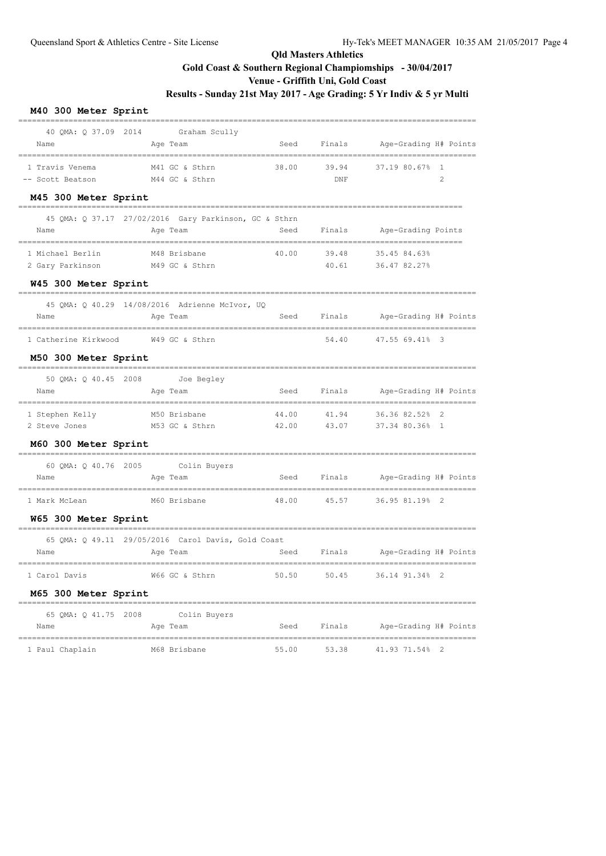#### **M40 300 Meter Sprint**

|                                     | 40 QMA: Q 37.09 2014 Graham Scully                    |       |                    |                              |
|-------------------------------------|-------------------------------------------------------|-------|--------------------|------------------------------|
| Name                                | Age Team                                              | Seed  | Finals             | Age-Grading H# Points        |
| 1 Travis Venema                     | M41 GC & Sthrn                                        | 38.00 | 39.94              | 37.19 80.67% 1               |
| -- Scott Beatson                    | M44 GC & Sthrn                                        |       | $\mathop{\rm DNF}$ | 2                            |
| M45 300 Meter Sprint                |                                                       |       |                    |                              |
|                                     | 45 QMA: Q 37.17 27/02/2016 Gary Parkinson, GC & Sthrn |       |                    |                              |
| Name                                | Age Team                                              | Seed  | Finals             | Age-Grading Points           |
| 1 Michael Berlin                    | M48 Brisbane                                          | 40.00 | 39.48              | 35.45 84.63%                 |
| 2 Gary Parkinson                    | M49 GC & Sthrn                                        |       | 40.61              | 36.47 82.27%                 |
| W45 300 Meter Sprint                |                                                       |       |                    |                              |
|                                     | 45 QMA: Q 40.29 14/08/2016 Adrienne McIvor, UQ        |       |                    |                              |
| Name                                | Age Team                                              | Seed  | Finals             | Age-Grading H# Points        |
| 1 Catherine Kirkwood W49 GC & Sthrn |                                                       |       | 54.40              | 47.55 69.41% 3               |
| M50 300 Meter Sprint                |                                                       |       |                    |                              |
| 50 QMA: Q 40.45 2008                | Joe Begley                                            |       |                    |                              |
| Name                                | Age Team                                              | Seed  | Finals             | Age-Grading H# Points        |
| 1 Stephen Kelly                     | M50 Brisbane                                          | 44.00 | 41.94              | 36.36 82.52% 2               |
| 2 Steve Jones                       | M53 GC & Sthrn                                        | 42.00 | 43.07              | 37.34 80.36% 1               |
| M60 300 Meter Sprint                |                                                       |       |                    |                              |
|                                     | 60 QMA: Q 40.76 2005 Colin Buyers                     |       |                    |                              |
| Name                                | Age Team                                              | Seed  | Finals             | Age-Grading H# Points        |
| 1 Mark McLean                       | M60 Brisbane                                          | 48.00 | 45.57              | 36.95 81.19% 2               |
| W65 300 Meter Sprint                |                                                       |       |                    |                              |
|                                     | 65 QMA: Q 49.11 29/05/2016 Carol Davis, Gold Coast    |       |                    |                              |
| Name                                | Age Team                                              | Seed  | Finals             | Age-Grading H# Points        |
| 1 Carol Davis                       | =================================<br>W66 GC & Sthrn   | 50.50 | 50.45              | 36.14 91.34% 2               |
| M65 300 Meter Sprint                |                                                       |       |                    |                              |
|                                     | 65 QMA: Q 41.75 2008 Colin Buyers                     |       |                    |                              |
| Name                                | Age Team                                              | Seed  |                    | Finals Age-Grading H# Points |
| 1 Paul Chaplain M68 Brisbane        |                                                       | 55.00 | 53.38              | 41.93 71.54% 2               |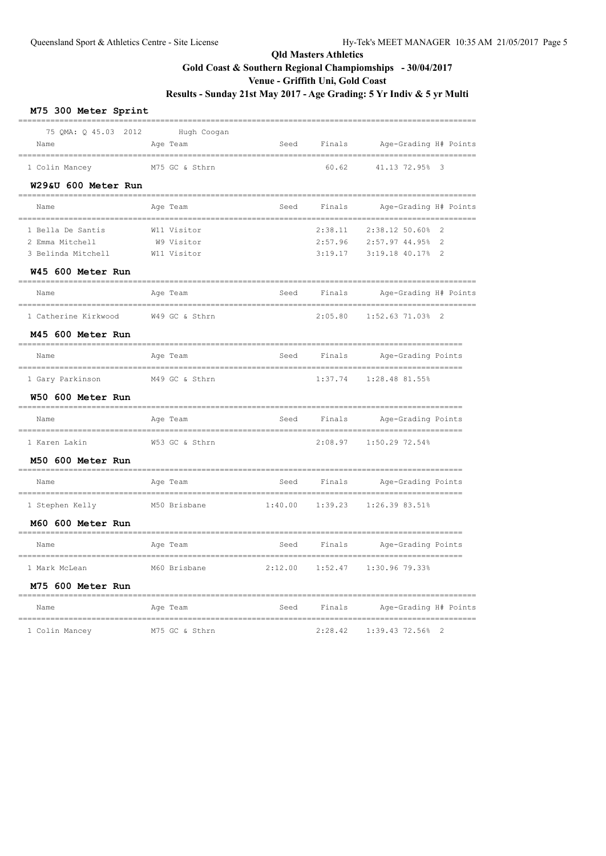#### **M75 300 Meter Sprint**

| on werer phrinr                  |                |                              |                                 |         |                                                         |                         |
|----------------------------------|----------------|------------------------------|---------------------------------|---------|---------------------------------------------------------|-------------------------|
| 75 QMA: Q 45.03 2012             |                | Hugh Coogan                  |                                 |         |                                                         |                         |
| Name                             | Age Team       |                              | Seed                            | Finals  | Age-Grading H# Points                                   |                         |
| 1 Colin Mancey                   | M75 GC & Sthrn |                              |                                 | 60.62   | 41.13 72.95%                                            | $\overline{\mathbf{3}}$ |
| W29&U 600 Meter Run              |                |                              |                                 |         |                                                         |                         |
| Name                             | Age Team       |                              | Seed<br>_______________________ | Finals  | Age-Grading H# Points                                   |                         |
| 1 Bella De Santis                | W11 Visitor    |                              |                                 | 2:38.11 | 2:38.12 50.60%                                          | $\mathfrak{D}$          |
| 2 Emma Mitchell                  | W9 Visitor     |                              |                                 | 2:57.96 | 2:57.97 44.95%                                          | $\mathcal{L}$           |
| 3 Belinda Mitchell               | W11 Visitor    |                              |                                 | 3:19.17 | 3:19.18 40.17%                                          | $\overline{2}$          |
| W45 600 Meter Run                |                |                              |                                 |         |                                                         |                         |
| Name                             | Age Team       |                              | Seed                            | Finals  | Age-Grading H# Points                                   |                         |
| 1 Catherine Kirkwood             | W49 GC & Sthrn |                              |                                 | 2:05.80 | $1:52.63$ 71.03% 2                                      |                         |
| M45 600 Meter Run                |                |                              |                                 |         |                                                         |                         |
| Name                             | Age Team       |                              | Seed                            | Finals  | Age-Grading Points                                      |                         |
| 1 Gary Parkinson                 | M49 GC & Sthrn |                              |                                 | 1:37.74 | 1:28.48 81.55%                                          |                         |
| W50 600 Meter Run                |                |                              |                                 |         |                                                         |                         |
| Name<br>======================== | Age Team       |                              | Seed<br>========                | Finals  | Age-Grading Points                                      |                         |
| 1 Karen Lakin                    | W53 GC & Sthrn |                              |                                 | 2:08.97 | 1:50.29 72.54%                                          |                         |
| M50 600 Meter Run                |                |                              |                                 |         |                                                         |                         |
| Name                             | Age Team       |                              | Seed                            | Finals  | Age-Grading Points                                      |                         |
| 1 Stephen Kelly                  | M50 Brisbane   |                              | 1:40.00                         | 1:39.23 | 1:26.39 83.51%                                          |                         |
| M60 600 Meter Run                |                | ____________________________ |                                 |         |                                                         |                         |
| Name                             | Age Team       |                              | Seed                            | Finals  | Age-Grading Points<br>_________________________________ |                         |
| 1 Mark McLean                    | M60 Brisbane   |                              | 2:12.00                         | 1:52.47 | 1:30.96 79.33%                                          |                         |
| M75 600 Meter Run                |                |                              |                                 |         |                                                         |                         |
| Name                             | Age Team       |                              | Seed                            | Finals  | Age-Grading H# Points                                   |                         |
|                                  |                |                              |                                 |         |                                                         |                         |

1 Colin Mancey M75 GC & Sthrn 2:28.42 1:39.43 72.56% 2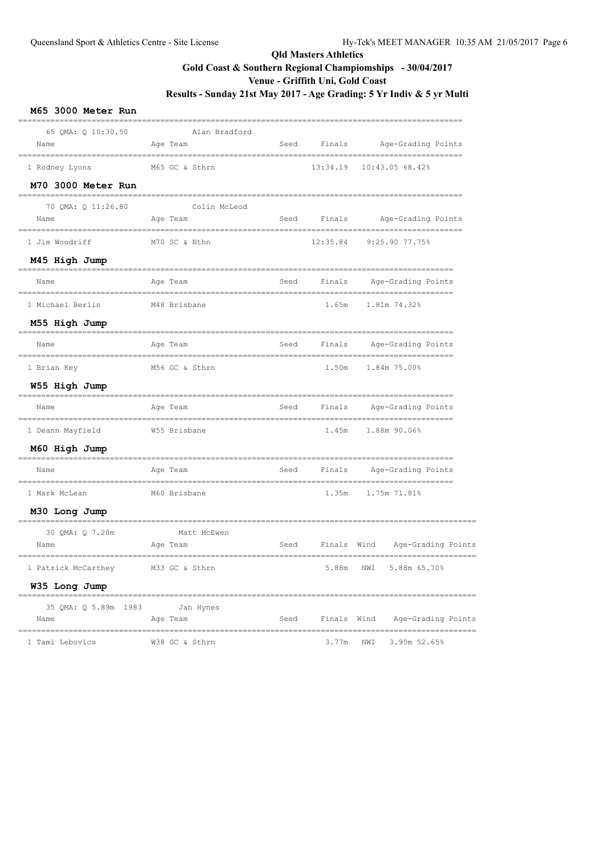| M65 3000 Meter Run                                                    |          |                |      |          |      |                                                      |
|-----------------------------------------------------------------------|----------|----------------|------|----------|------|------------------------------------------------------|
| 65 QMA: Q 10:30.50<br>Name                                            | Age Team | Alan Bradford  | Seed | Finals   |      | Age-Grading Points                                   |
| 1 Rodney Lyons                                                        |          | M65 GC & Sthrn |      | 13:34.19 |      | 10:43.05 68.42%                                      |
| M70 3000 Meter Run<br>-------------------                             |          |                |      |          |      |                                                      |
| 70 QMA: Q 11:26.80<br>Name                                            | Age Team | Colin McLeod   | Seed | Finals   |      | Age-Grading Points                                   |
| 1 Jim Woodriff                                                        |          | M70 SC & Nthn  |      | 12:35.84 |      | 9:25.90 77.75%                                       |
| M45 High Jump                                                         |          |                |      |          |      |                                                      |
| Name                                                                  | Age Team |                | Seed | Finals   |      | Age-Grading Points                                   |
| 1 Michael Berlin                                                      |          | M48 Brisbane   |      | 1.65m    |      | 1.81m 74.32%                                         |
| M55 High Jump                                                         |          |                |      |          |      |                                                      |
| Name                                                                  | Age Team |                | Seed | Finals   |      | Age-Grading Points                                   |
| 1 Brian Key                                                           |          | M56 GC & Sthrn |      |          |      | 1.50m 1.84m 75.00%                                   |
| W55 High Jump                                                         |          |                |      |          |      |                                                      |
| Name                                                                  | Age Team |                | Seed | Finals   |      | Age-Grading Points                                   |
| 1 Deann Mayfield                                                      |          | W55 Brisbane   |      |          |      | 1.45m 1.88m 90.06%                                   |
| M60 High Jump                                                         |          |                |      |          |      |                                                      |
| Name                                                                  | Age Team |                | Seed | Finals   |      | Age-Grading Points                                   |
| 1 Mark McLean                                                         |          | M60 Brisbane   |      | 1.35m    |      | 1.75m 71.81%                                         |
| M30 Long Jump                                                         |          |                |      |          |      |                                                      |
| -------------------------<br>30 QMA: Q 7.20m<br>Name                  | Age Team | Matt McEwen    | Seed | Finals   | Wind | Age-Grading Points                                   |
| 1 Patrick McCarthey                                                   |          | M33 GC & Sthrn |      |          |      | --------------------------<br>5.88m NWI 5.88m 65.70% |
| W35 Long Jump                                                         |          |                |      |          |      |                                                      |
| 35 QMA: Q 5.89m 1983<br>Name                                          | Age Team | Jan Hynes      |      |          |      | Seed Finals Wind Age-Grading Points                  |
| .==================================<br>1 Tami Lebovics M38 GC & Sthrn |          |                |      |          |      | 3.77m NWI 3.95m 52.65%                               |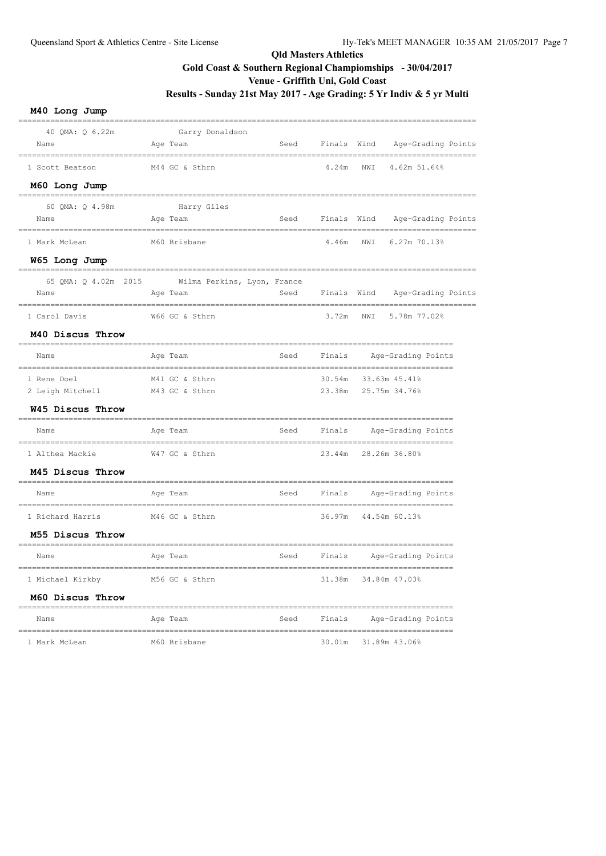| M40 Long Jump                   |                                         |      |             |     |                                       |
|---------------------------------|-----------------------------------------|------|-------------|-----|---------------------------------------|
| 40 OMA: 0 6.22m<br>Name         | Garry Donaldson<br>Age Team             | Seed | Finals Wind |     | Age-Grading Points                    |
| 1 Scott Beatson                 | M44 GC & Sthrn                          |      | 4.24m       | NWI | 4.62m 51.64%                          |
| M60 Long Jump                   |                                         |      |             |     |                                       |
| 60 OMA: 0 4.98m<br>Name         | Harry Giles<br>Age Team                 | Seed | Finals Wind |     | Age-Grading Points                    |
| 1 Mark McLean                   | M60 Brisbane                            |      | 4.46m       | NWI | 6.27m 70.13%                          |
| W65 Long Jump                   |                                         |      |             |     |                                       |
| 65 OMA: 0 4.02m 2015<br>Name    | Wilma Perkins, Lyon, France<br>Age Team | Seed | Finals Wind |     | Age-Grading Points                    |
| 1 Carol Davis                   | W66 GC & Sthrn                          |      | 3.72m       | NWI | 5.78m 77.02%                          |
| M40 Discus Throw                |                                         |      |             |     |                                       |
| Name                            | Age Team                                | Seed | Finals      |     | Age-Grading Points                    |
| 1 Rene Doel<br>2 Leigh Mitchell | M41 GC & Sthrn<br>M43 GC & Sthrn        |      | 30.54m      |     | 33.63m 45.41%<br>23.38m 25.75m 34.76% |
| W45 Discus Throw                |                                         |      |             |     |                                       |
| Name                            | Age Team                                | Seed | Finals      |     | Age-Grading Points                    |
| 1 Althea Mackie                 | W47 GC & Sthrn                          |      |             |     | 23.44m 28.26m 36.80%                  |
| M45 Discus Throw                |                                         |      |             |     |                                       |
| Name                            | Age Team                                | Seed | Finals      |     | Age-Grading Points                    |
| 1 Richard Harris                | M46 GC & Sthrn                          |      | 36.97m      |     | 44.54m 60.13%                         |
| M55 Discus Throw                | ____________________________            |      |             |     | ---------------------------------     |
| Name                            | Age Team                                | Seed | Finals      |     | Age-Grading Points                    |
| 1 Michael Kirkby                | M56 GC & Sthrn                          |      |             |     | 31.38m 34.84m 47.03%                  |
| M60 Discus Throw                |                                         |      |             |     |                                       |
| Name                            | Age Team                                | Seed |             |     | Finals Age-Grading Points             |
| 1 Mark McLean                   | M60 Brisbane                            |      |             |     | 30.01m 31.89m 43.06%                  |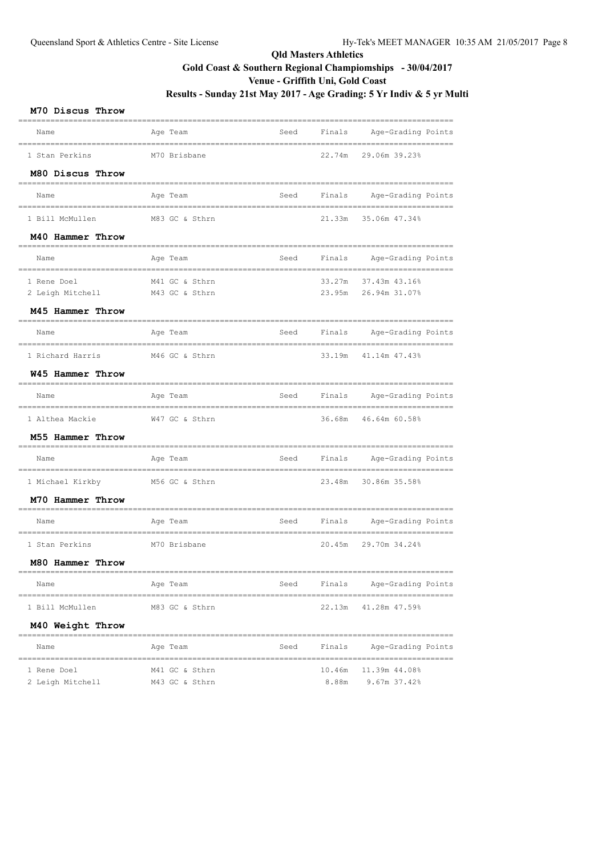#### **M70 Discus Throw**

| Name                           | Age Team             | Seed | Finals | Age-Grading Points                   |
|--------------------------------|----------------------|------|--------|--------------------------------------|
| 1 Stan Perkins                 | M70 Brisbane         |      | 22.74m | 29.06m 39.23%                        |
| M80 Discus Throw               |                      |      |        |                                      |
| Name                           | Age Team             | Seed | Finals | Age-Grading Points                   |
| 1 Bill McMullen                | M83 GC & Sthrn       |      | 21.33m | 35.06m 47.34%                        |
| M40 Hammer Throw               |                      |      |        |                                      |
| Name                           | Age Team             | Seed | Finals | Age-Grading Points                   |
| 1 Rene Doel                    | M41 GC & Sthrn       |      | 33.27m | 37.43m 43.16%                        |
| 2 Leigh Mitchell               | M43 GC & Sthrn       |      | 23.95m | 26.94m 31.07%                        |
| M45 Hammer Throw               |                      |      |        |                                      |
| Name                           | Age Team             | Seed | Finals | Age-Grading Points                   |
| 1 Richard Harris               | M46 GC & Sthrn       |      | 33.19m | 41.14m 47.43%                        |
| W45 Hammer Throw               |                      |      |        |                                      |
| Name                           | Age Team             | Seed | Finals | Age-Grading Points                   |
| 1 Althea Mackie                | W47 GC & Sthrn       |      | 36.68m | 46.64m 60.58%                        |
| M55 Hammer Throw               |                      |      |        |                                      |
| Name                           | Age Team             | Seed | Finals | Age-Grading Points                   |
| 1 Michael Kirkby               | M56 GC & Sthrn       |      | 23.48m | 30.86m 35.58%                        |
| M70 Hammer Throw               |                      |      |        |                                      |
| Name<br>---------------------- | Age Team             | Seed | Finals | Age-Grading Points                   |
| 1 Stan Perkins                 | M70 Brisbane         |      | 20.45m | 29.70m 34.24%                        |
| M80 Hammer Throw               |                      |      |        |                                      |
| Name                           | Age Team             | Seed | Finals | ==============<br>Age-Grading Points |
| 1 Bill McMullen                | M83 GC & Sthrn       |      | 22.13m | 41.28m 47.59%                        |
| M40 Weight Throw               |                      |      |        |                                      |
| Name                           | --------<br>Age Team | Seed | Finals | Age-Grading Points                   |
| 1 Rene Doel                    | M41 GC & Sthrn       |      | 10.46m | 11.39m 44.08%                        |
| 2 Leigh Mitchell               | M43 GC & Sthrn       |      | 8.88m  | 9.67m 37.42%                         |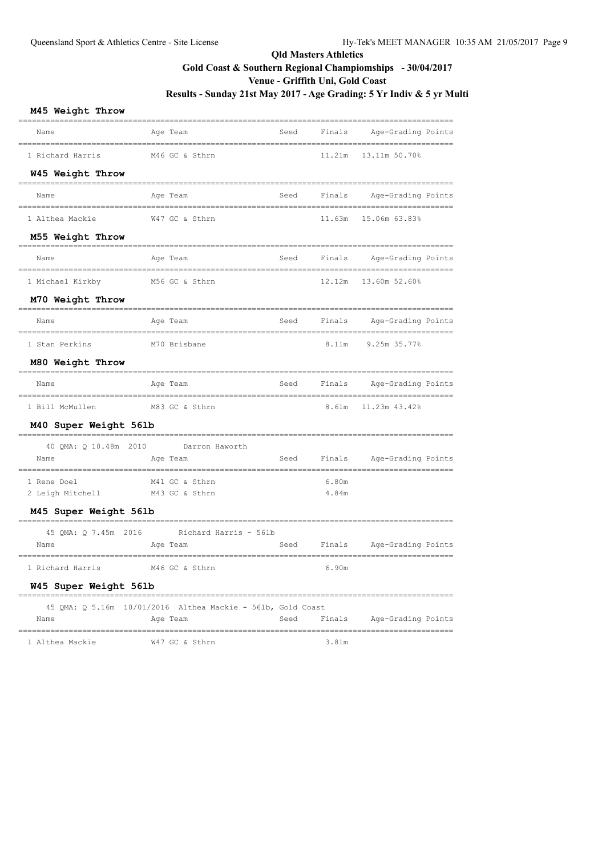#### **M45 Weight Throw**

| Name                            | Age Team<br>------------------------------------            |      |             | Seed Finals Age-Grading Points |
|---------------------------------|-------------------------------------------------------------|------|-------------|--------------------------------|
| 1 Richard Harris                | M46 GC & Sthrn                                              |      | 11.21m      | 13.11m 50.70%                  |
| W45 Weight Throw                | ---------------------                                       |      |             |                                |
| Name                            | Age Team                                                    | Seed | Finals      | Age-Grading Points             |
| 1 Althea Mackie                 | W47 GC & Sthrn                                              |      | 11.63m      | 15.06m 63.83%                  |
| M55 Weight Throw                | ===============                                             |      |             |                                |
| Name                            | Age Team                                                    |      |             | Seed Finals Age-Grading Points |
| 1 Michael Kirkby                | M56 GC & Sthrn                                              |      |             | 12.12m  13.60m  52.60%         |
| M70 Weight Throw                |                                                             |      |             |                                |
| Name                            | Age Team<br>_______________________                         |      | Seed Finals | Age-Grading Points             |
| 1 Stan Perkins                  | M70 Brisbane                                                |      | 8.11m       | 9.25m 35.77%                   |
| M80 Weight Throw                |                                                             |      |             |                                |
| Name                            | Age Team                                                    |      |             | Seed Finals Age-Grading Points |
| 1 Bill McMullen                 | M83 GC & Sthrn                                              |      |             | 8.61m 11.23m 43.42%            |
| M40 Super Weight 56lb           | ---------------                                             |      |             |                                |
|                                 | 40 QMA: Q 10.48m 2010 Darron Haworth                        |      |             |                                |
| Name                            | Age Team                                                    |      |             | Seed Finals Age-Grading Points |
| 1 Rene Doel                     | M41 GC & Sthrn                                              |      | 6.80m       |                                |
| 2 Leigh Mitchell M43 GC & Sthrn |                                                             |      | 4.84m       |                                |
| M45 Super Weight 56lb           |                                                             |      |             |                                |
|                                 | 45 QMA: Q 7.45m 2016 Richard Harris - 561b                  |      |             |                                |
| Name                            | Age Team                                                    |      |             | Seed Finals Age-Grading Points |
| 1 Richard Harris                | M46 GC & Sthrn                                              |      | 6.90m       |                                |
| W45 Super Weight 56lb           |                                                             |      |             |                                |
|                                 | 45 QMA: Q 5.16m 10/01/2016 Althea Mackie - 561b, Gold Coast |      |             |                                |
| Name                            | Age Team                                                    |      | Seed Finals | Age-Grading Points             |
|                                 |                                                             |      |             |                                |

| 1 Althea Mackie<br>. |  | W47 GC & Sthrn |  | 3.81m |
|----------------------|--|----------------|--|-------|
|                      |  |                |  |       |